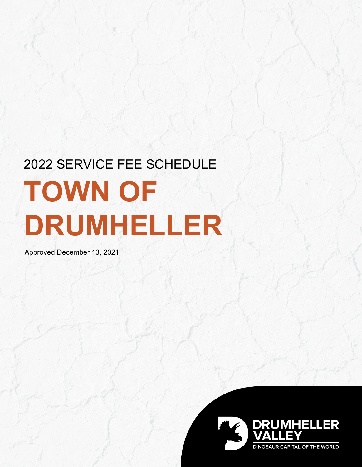# 2022 SERVICE FEE SCHEDULE **TOWN OF DRUMHELLER**

Approved December 13, 2021

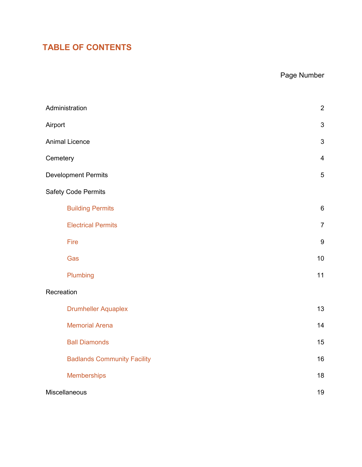# **TABLE OF CONTENTS**

# Page Number

| Administration                     | $\boldsymbol{2}$ |
|------------------------------------|------------------|
| Airport                            | $\sqrt{3}$       |
| <b>Animal Licence</b>              | $\mathfrak{B}$   |
| Cemetery                           | $\overline{4}$   |
| <b>Development Permits</b>         | $\sqrt{5}$       |
| <b>Safety Code Permits</b>         |                  |
| <b>Building Permits</b>            | $\,6\,$          |
| <b>Electrical Permits</b>          | $\overline{7}$   |
| Fire                               | $\boldsymbol{9}$ |
| Gas                                | 10               |
| Plumbing                           | 11               |
| Recreation                         |                  |
| <b>Drumheller Aquaplex</b>         | 13               |
| <b>Memorial Arena</b>              | 14               |
| <b>Ball Diamonds</b>               | 15               |
| <b>Badlands Community Facility</b> | 16               |
| <b>Memberships</b>                 | 18               |
| Miscellaneous                      | 19               |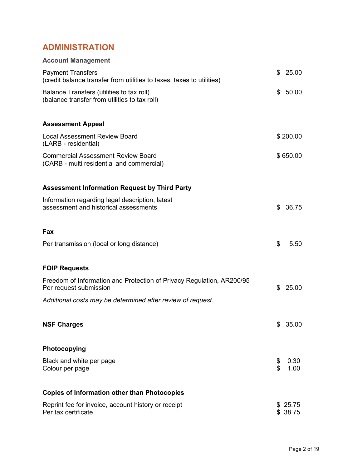# <span id="page-2-0"></span>**ADMINISTRATION**

| <b>Account Management</b>                                                                         |          |                    |
|---------------------------------------------------------------------------------------------------|----------|--------------------|
| <b>Payment Transfers</b><br>(credit balance transfer from utilities to taxes, taxes to utilities) | \$       | 25.00              |
| Balance Transfers (utilities to tax roll)<br>(balance transfer from utilities to tax roll)        | \$       | 50.00              |
| <b>Assessment Appeal</b>                                                                          |          |                    |
| Local Assessment Review Board<br>(LARB - residential)                                             |          | \$200.00           |
| <b>Commercial Assessment Review Board</b><br>(CARB - multi residential and commercial)            |          | \$650.00           |
| <b>Assessment Information Request by Third Party</b>                                              |          |                    |
| Information regarding legal description, latest<br>assessment and historical assessments          | \$       | 36.75              |
| Fax                                                                                               |          |                    |
| Per transmission (local or long distance)                                                         | \$       | 5.50               |
| <b>FOIP Requests</b>                                                                              |          |                    |
| Freedom of Information and Protection of Privacy Regulation, AR200/95<br>Per request submission   | \$       | 25.00              |
| Additional costs may be determined after review of request.                                       |          |                    |
| <b>NSF Charges</b>                                                                                | \$       | 35.00              |
| Photocopying                                                                                      |          |                    |
| Black and white per page<br>Colour per page                                                       | \$<br>\$ | 0.30<br>1.00       |
| <b>Copies of Information other than Photocopies</b>                                               |          |                    |
| Reprint fee for invoice, account history or receipt<br>Per tax certificate                        |          | \$25.75<br>\$38.75 |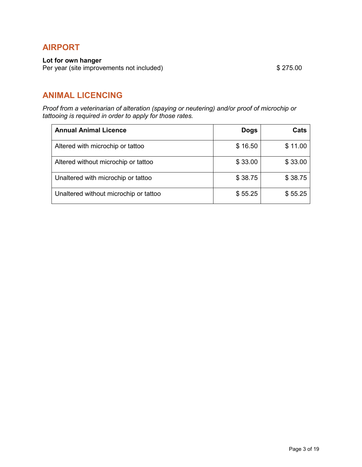# <span id="page-3-0"></span>**AIRPORT**

#### **Lot for own hanger**

Per year (site improvements not included) \$275.00

# **ANIMAL LICENCING**

*Proof from a veterinarian of alteration (spaying or neutering) and/or proof of microchip or tattooing is required in order to apply for those rates.*

| <b>Annual Animal Licence</b>          | <b>Dogs</b> | Cats    |
|---------------------------------------|-------------|---------|
| Altered with microchip or tattoo      | \$16.50     | \$11.00 |
| Altered without microchip or tattoo   | \$33.00     | \$33.00 |
| Unaltered with microchip or tattoo    | \$38.75     | \$38.75 |
| Unaltered without microchip or tattoo | \$55.25     | \$55.25 |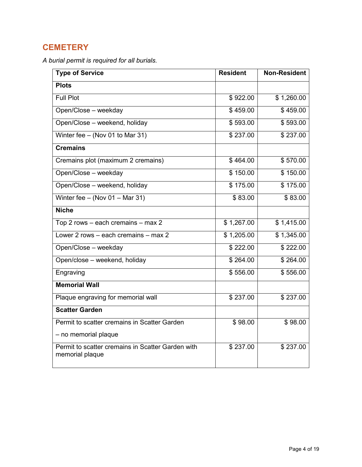# <span id="page-4-0"></span>**CEMETERY**

*A burial permit is required for all burials.*

| <b>Type of Service</b>                                               | <b>Resident</b><br><b>Non-Resident</b> |            |  |  |
|----------------------------------------------------------------------|----------------------------------------|------------|--|--|
| <b>Plots</b>                                                         |                                        |            |  |  |
| <b>Full Plot</b>                                                     | \$922.00                               | \$1,260.00 |  |  |
| Open/Close - weekday                                                 | \$459.00                               | \$459.00   |  |  |
| Open/Close - weekend, holiday                                        | \$593.00                               | \$593.00   |  |  |
| Winter fee - (Nov 01 to Mar 31)                                      | \$237.00                               | \$237.00   |  |  |
| <b>Cremains</b>                                                      |                                        |            |  |  |
| Cremains plot (maximum 2 cremains)                                   | \$464.00                               | \$570.00   |  |  |
| Open/Close - weekday                                                 | \$150.00                               | \$150.00   |  |  |
| Open/Close - weekend, holiday                                        | \$175.00                               | \$175.00   |  |  |
| Winter fee $-$ (Nov 01 $-$ Mar 31)                                   | \$83.00                                | \$83.00    |  |  |
| <b>Niche</b>                                                         |                                        |            |  |  |
| $\overline{Top\ 2}$ rows – each cremains – max 2                     | \$1,267.00                             | \$1,415.00 |  |  |
| Lower 2 rows – each cremains – max 2                                 | \$1,205.00                             | \$1,345.00 |  |  |
| Open/Close - weekday                                                 | \$222.00                               | \$222.00   |  |  |
| Open/close - weekend, holiday                                        | \$264.00                               | \$264.00   |  |  |
| Engraving                                                            | \$556.00                               | \$556.00   |  |  |
| <b>Memorial Wall</b>                                                 |                                        |            |  |  |
| Plaque engraving for memorial wall                                   | \$237.00                               | \$237.00   |  |  |
| <b>Scatter Garden</b>                                                |                                        |            |  |  |
| Permit to scatter cremains in Scatter Garden                         | \$98.00                                | \$98.00    |  |  |
| - no memorial plaque                                                 |                                        |            |  |  |
| Permit to scatter cremains in Scatter Garden with<br>memorial plaque | \$237.00                               | \$237.00   |  |  |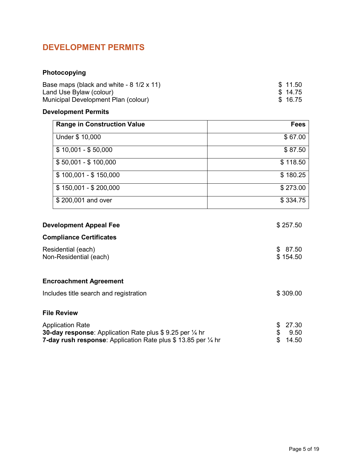# <span id="page-5-0"></span>**DEVELOPMENT PERMITS**

## **Photocopying**

| Base maps (black and white - $8 \frac{1}{2} \times 11$ ) | \$11.50 |
|----------------------------------------------------------|---------|
| Land Use Bylaw (colour)                                  | \$14.75 |
| Municipal Development Plan (colour)                      | \$16.75 |

## **Development Permits**

| <b>Range in Construction Value</b>                                                                                                                                                      | <b>Fees</b>                              |
|-----------------------------------------------------------------------------------------------------------------------------------------------------------------------------------------|------------------------------------------|
| Under \$ 10,000                                                                                                                                                                         | \$67.00                                  |
| $$10,001 - $50,000$                                                                                                                                                                     | \$87.50                                  |
| $$50,001 - $100,000$                                                                                                                                                                    | \$118.50                                 |
| $$100,001 - $150,000$                                                                                                                                                                   | \$180.25                                 |
| $$150,001 - $200,000$                                                                                                                                                                   | \$273.00                                 |
| \$200,001 and over                                                                                                                                                                      | \$334.75                                 |
| <b>Development Appeal Fee</b>                                                                                                                                                           | \$257.50                                 |
| <b>Compliance Certificates</b>                                                                                                                                                          |                                          |
| Residential (each)<br>Non-Residential (each)                                                                                                                                            | \$87.50<br>\$154.50                      |
| <b>Encroachment Agreement</b>                                                                                                                                                           |                                          |
| Includes title search and registration                                                                                                                                                  | \$309.00                                 |
| <b>File Review</b>                                                                                                                                                                      |                                          |
| <b>Application Rate</b><br><b>30-day response:</b> Application Rate plus \$9.25 per $\frac{1}{4}$ hr<br><b>7-day rush response</b> : Application Rate plus \$13.85 per $\frac{1}{4}$ hr | 27.30<br>\$<br>\$<br>9.50<br>\$<br>14.50 |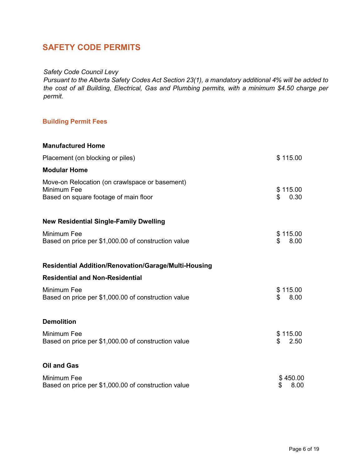# <span id="page-6-0"></span>**SAFETY CODE PERMITS**

#### *Safety Code Council Levy*

*Pursuant to the Alberta Safety Codes Act Section 23(1), a mandatory additional 4% will be added to the cost of all Building, Electrical, Gas and Plumbing permits, with a minimum \$4.50 charge per permit.*

## **Building Permit Fees**

| <b>Manufactured Home</b>                                                                               |                        |
|--------------------------------------------------------------------------------------------------------|------------------------|
| Placement (on blocking or piles)                                                                       | \$115.00               |
| <b>Modular Home</b>                                                                                    |                        |
| Move-on Relocation (on crawlspace or basement)<br>Minimum Fee<br>Based on square footage of main floor | \$115.00<br>0.30<br>\$ |
| <b>New Residential Single-Family Dwelling</b>                                                          |                        |
| Minimum Fee<br>Based on price per \$1,000.00 of construction value                                     | \$115.00<br>\$<br>8.00 |
| <b>Residential Addition/Renovation/Garage/Multi-Housing</b>                                            |                        |
| <b>Residential and Non-Residential</b>                                                                 |                        |
| Minimum Fee<br>Based on price per \$1,000.00 of construction value                                     | \$115.00<br>8.00<br>\$ |
| <b>Demolition</b>                                                                                      |                        |
| Minimum Fee<br>Based on price per \$1,000.00 of construction value                                     | \$115.00<br>2.50<br>\$ |
| <b>Oil and Gas</b>                                                                                     |                        |
| Minimum Fee<br>Based on price per \$1,000.00 of construction value                                     | \$450.00<br>\$<br>8.00 |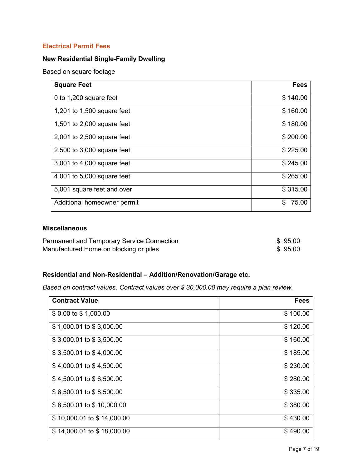#### <span id="page-7-0"></span>**Electrical Permit Fees**

## **New Residential Single-Family Dwelling**

Based on square footage

| <b>Square Feet</b>          | <b>Fees</b> |
|-----------------------------|-------------|
| 0 to 1,200 square feet      | \$140.00    |
| 1,201 to 1,500 square feet  | \$160.00    |
| 1,501 to 2,000 square feet  | \$180.00    |
| 2,001 to 2,500 square feet  | \$200.00    |
| 2,500 to 3,000 square feet  | \$225.00    |
| 3,001 to 4,000 square feet  | \$245.00    |
| 4,001 to 5,000 square feet  | \$265.00    |
| 5,001 square feet and over  | \$315.00    |
| Additional homeowner permit | 75.00<br>S  |

#### **Miscellaneous**

| <b>Permanent and Temporary Service Connection</b> | \$95.00 |
|---------------------------------------------------|---------|
| Manufactured Home on blocking or piles            | \$95.00 |

## **Residential and Non-Residential – Addition/Renovation/Garage etc.**

*Based on contract values. Contract values over \$ 30,000.00 may require a plan review.*

| <b>Contract Value</b>      | <b>Fees</b> |
|----------------------------|-------------|
| \$ 0.00 to \$ 1,000.00     | \$100.00    |
| \$1,000.01 to \$3,000.00   | \$120.00    |
| \$3,000.01 to \$3,500.00   | \$160.00    |
| \$3,500.01 to \$4,000.00   | \$185.00    |
| \$4,000.01 to \$4,500.00   | \$230.00    |
| $$4,500.01$ to $$6,500.00$ | \$280.00    |
| \$6,500.01 to \$8,500.00   | \$335.00    |
| \$8,500.01 to \$10,000.00  | \$380.00    |
| \$10,000.01 to \$14,000.00 | \$430.00    |
| \$14,000.01 to \$18,000.00 | \$490.00    |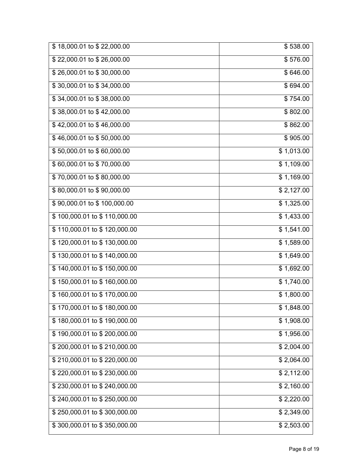| \$18,000.01 to \$22,000.00   | \$538.00   |
|------------------------------|------------|
| \$22,000.01 to \$26,000.00   | \$576.00   |
| \$26,000.01 to \$30,000.00   | \$646.00   |
| \$30,000.01 to \$34,000.00   | \$694.00   |
| \$34,000.01 to \$38,000.00   | \$754.00   |
| \$38,000.01 to \$42,000.00   | \$802.00   |
| \$42,000.01 to \$46,000.00   | \$862.00   |
| \$46,000.01 to \$50,000.00   | \$905.00   |
| \$50,000.01 to \$60,000.00   | \$1,013.00 |
| \$60,000.01 to \$70,000.00   | \$1,109.00 |
| \$70,000.01 to \$80,000.00   | \$1,169.00 |
| \$80,000.01 to \$90,000.00   | \$2,127.00 |
| \$90,000.01 to \$100,000.00  | \$1,325.00 |
| \$100,000.01 to \$110,000.00 | \$1,433.00 |
| \$110,000.01 to \$120,000.00 | \$1,541.00 |
| \$120,000.01 to \$130,000.00 | \$1,589.00 |
| \$130,000.01 to \$140,000.00 | \$1,649.00 |
| \$140,000.01 to \$150,000.00 | \$1,692.00 |
| \$150,000.01 to \$160,000.00 | \$1,740.00 |
| \$160,000.01 to \$170,000.00 | \$1,800.00 |
| \$170,000.01 to \$180,000.00 | \$1,848.00 |
| \$180,000.01 to \$190,000.00 | \$1,908.00 |
| \$190,000.01 to \$200,000.00 | \$1,956.00 |
| \$200,000.01 to \$210,000.00 | \$2,004.00 |
| \$210,000.01 to \$220,000.00 | \$2,064.00 |
| \$220,000.01 to \$230,000.00 | \$2,112.00 |
| \$230,000.01 to \$240,000.00 | \$2,160.00 |
| \$240,000.01 to \$250,000.00 | \$2,220.00 |
| \$250,000.01 to \$300,000.00 | \$2,349.00 |
| \$300,000.01 to \$350,000.00 | \$2,503.00 |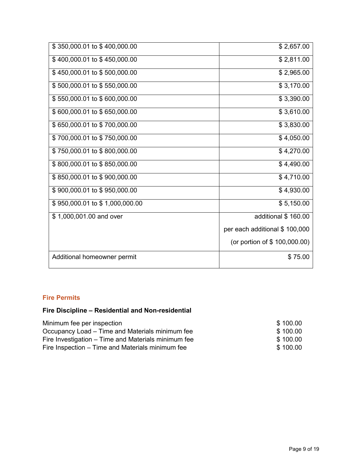<span id="page-9-0"></span>

| \$350,000.01 to \$400,000.00   | \$2,657.00                     |
|--------------------------------|--------------------------------|
| \$400,000.01 to \$450,000.00   | \$2,811.00                     |
| \$450,000.01 to \$500,000.00   | \$2,965.00                     |
| \$500,000.01 to \$550,000.00   | \$3,170.00                     |
| \$550,000.01 to \$600,000.00   | \$3,390.00                     |
| \$600,000.01 to \$650,000.00   | \$3,610.00                     |
| \$650,000.01 to \$700,000.00   | \$3,830.00                     |
| \$700,000.01 to \$750,000.00   | \$4,050.00                     |
| \$750,000.01 to \$800,000.00   | \$4,270.00                     |
| \$800,000.01 to \$850,000.00   | \$4,490.00                     |
| \$850,000.01 to \$900,000.00   | \$4,710.00                     |
| \$900,000.01 to \$950,000.00   | \$4,930.00                     |
| \$950,000.01 to \$1,000,000.00 | \$5,150.00                     |
| \$1,000,001.00 and over        | additional \$160.00            |
|                                | per each additional \$ 100,000 |
|                                | (or portion of \$ 100,000.00)  |
| Additional homeowner permit    | \$75.00                        |

## **Fire Permits**

## **Fire Discipline – Residential and Non-residential**

| Minimum fee per inspection                          | \$100.00 |
|-----------------------------------------------------|----------|
| Occupancy Load – Time and Materials minimum fee     | \$100.00 |
| Fire Investigation – Time and Materials minimum fee | \$100.00 |
| Fire Inspection – Time and Materials minimum fee    | \$100.00 |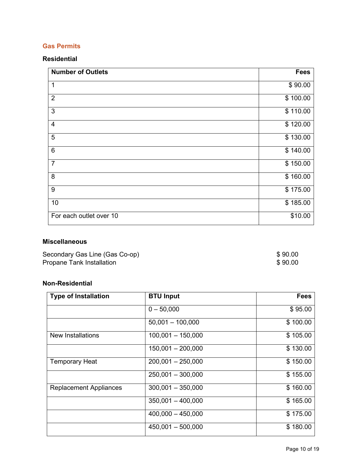## <span id="page-10-0"></span>**Gas Permits**

#### **Residential**

| <b>Number of Outlets</b> | <b>Fees</b> |
|--------------------------|-------------|
| 1                        | \$90.00     |
| $\overline{2}$           | \$100.00    |
| 3                        | \$110.00    |
| $\overline{4}$           | \$120.00    |
| 5                        | \$130.00    |
| $\,6$                    | \$140.00    |
| $\overline{7}$           | \$150.00    |
| 8                        | \$160.00    |
| 9                        | \$175.00    |
| 10                       | \$185.00    |
| For each outlet over 10  | \$10.00     |

## **Miscellaneous**

| Secondary Gas Line (Gas Co-op) | \$90.00 |
|--------------------------------|---------|
| Propane Tank Installation      | \$90.00 |

## **Non-Residential**

| <b>Type of Installation</b>   | <b>BTU Input</b>    | <b>Fees</b> |
|-------------------------------|---------------------|-------------|
|                               | $0 - 50,000$        | \$95.00     |
|                               | $50,001 - 100,000$  | \$100.00    |
| <b>New Installations</b>      | $100,001 - 150,000$ | \$105.00    |
|                               | $150,001 - 200,000$ | \$130.00    |
| <b>Temporary Heat</b>         | $200,001 - 250,000$ | \$150.00    |
|                               | $250,001 - 300,000$ | \$155.00    |
| <b>Replacement Appliances</b> | $300,001 - 350,000$ | \$160.00    |
|                               | $350,001 - 400,000$ | \$165.00    |
|                               | $400,000 - 450,000$ | \$175.00    |
|                               | $450,001 - 500,000$ | \$180.00    |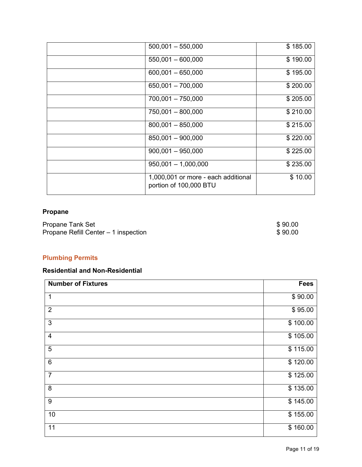| $500,001 - 550,000$                                           | \$185.00 |
|---------------------------------------------------------------|----------|
| $550,001 - 600,000$                                           | \$190.00 |
| $600,001 - 650,000$                                           | \$195.00 |
| 650,001 - 700,000                                             | \$200.00 |
| 700,001 - 750,000                                             | \$205.00 |
| 750,001 - 800,000                                             | \$210.00 |
| $800,001 - 850,000$                                           | \$215.00 |
| 850,001 - 900,000                                             | \$220.00 |
| $900,001 - 950,000$                                           | \$225.00 |
| $950,001 - 1,000,000$                                         | \$235.00 |
| 1,000,001 or more - each additional<br>portion of 100,000 BTU | \$10.00  |

## **Propane**

| Propane Tank Set                     | \$90.00 |
|--------------------------------------|---------|
| Propane Refill Center - 1 inspection | \$90.00 |

## **Plumbing Permits**

## **Residential and Non-Residential**

| <b>Number of Fixtures</b> | Fees     |
|---------------------------|----------|
| 1                         | \$90.00  |
| $\overline{2}$            | \$95.00  |
| 3                         | \$100.00 |
| $\overline{4}$            | \$105.00 |
| 5                         | \$115.00 |
| $\,6\,$                   | \$120.00 |
| $\overline{7}$            | \$125.00 |
| $\bf 8$                   | \$135.00 |
| $\boldsymbol{9}$          | \$145.00 |
| 10                        | \$155.00 |
| 11                        | \$160.00 |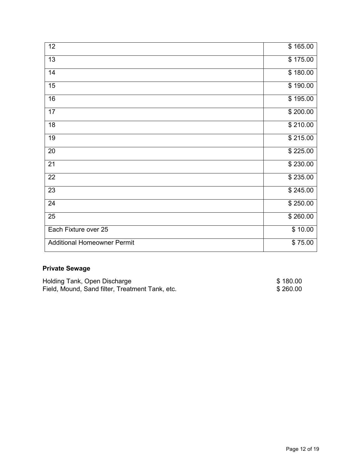<span id="page-12-0"></span>

| $\overline{12}$                    | \$165.00 |
|------------------------------------|----------|
| 13                                 | \$175.00 |
| 14                                 | \$180.00 |
| 15                                 | \$190.00 |
| 16                                 | \$195.00 |
| 17                                 | \$200.00 |
| 18                                 | \$210.00 |
| 19                                 | \$215.00 |
| 20                                 | \$225.00 |
| 21                                 | \$230.00 |
| 22                                 | \$235.00 |
| 23                                 | \$245.00 |
| 24                                 | \$250.00 |
| 25                                 | \$260.00 |
| Each Fixture over 25               | \$10.00  |
| <b>Additional Homeowner Permit</b> | \$75.00  |

## **Private Sewage**

| Holding Tank, Open Discharge                    | \$180.00 |
|-------------------------------------------------|----------|
| Field, Mound, Sand filter, Treatment Tank, etc. | \$260.00 |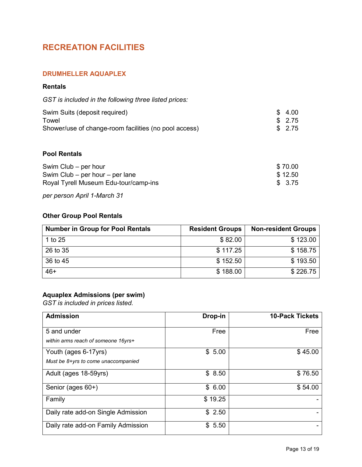# **RECREATION FACILITIES**

#### **DRUMHELLER AQUAPLEX**

#### **Rentals**

| GST is included in the following three listed prices: |  |  |  |
|-------------------------------------------------------|--|--|--|
|-------------------------------------------------------|--|--|--|

| Swim Suits (deposit required)                         | \$4.00  |
|-------------------------------------------------------|---------|
| Towel                                                 | \$ 2.75 |
| Shower/use of change-room facilities (no pool access) | \$2.75  |

#### **Pool Rentals**

| Swim Club – per hour                  | \$70.00 |
|---------------------------------------|---------|
| Swim Club $-$ per hour $-$ per lane   | \$12.50 |
| Royal Tyrell Museum Edu-tour/camp-ins | \$ 3.75 |

*per person April 1-March 31*

## **Other Group Pool Rentals**

| <b>Number in Group for Pool Rentals</b> | <b>Resident Groups</b> | <b>Non-resident Groups</b> |
|-----------------------------------------|------------------------|----------------------------|
| 1 to 25                                 | \$82.00                | \$123.00                   |
| 26 to 35                                | \$117.25               | \$158.75                   |
| 36 to 45                                | \$152.50               | \$193.50                   |
| $46+$                                   | \$188.00               | \$226.75                   |

## **Aquaplex Admissions (per swim)**

*GST is included in prices listed.*

| <b>Admission</b>                                            | Drop-in | <b>10-Pack Tickets</b> |
|-------------------------------------------------------------|---------|------------------------|
| 5 and under<br>within arms reach of someone 16yrs+          | Free    | Free                   |
| Youth (ages 6-17yrs)<br>Must be 8+yrs to come unaccompanied | \$5.00  | \$45.00                |
| Adult (ages 18-59yrs)                                       | \$8.50  | \$76.50                |
| Senior (ages 60+)                                           | \$6.00  | \$54.00                |
| Family                                                      | \$19.25 |                        |
| Daily rate add-on Single Admission                          | \$2.50  |                        |
| Daily rate add-on Family Admission                          | \$5.50  |                        |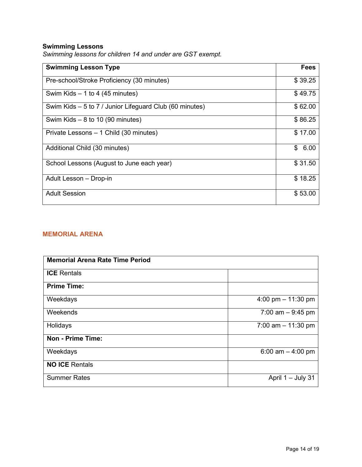## <span id="page-14-0"></span>**Swimming Lessons**

| <b>Swimming Lesson Type</b>                             | <b>Fees</b> |
|---------------------------------------------------------|-------------|
| Pre-school/Stroke Proficiency (30 minutes)              | \$39.25     |
| Swim Kids $-1$ to 4 (45 minutes)                        | \$49.75     |
| Swim Kids – 5 to 7 / Junior Lifeguard Club (60 minutes) | \$62.00     |
| Swim Kids $-8$ to 10 (90 minutes)                       | \$86.25     |
| Private Lessons - 1 Child (30 minutes)                  | \$17.00     |
| Additional Child (30 minutes)                           | \$<br>6.00  |
| School Lessons (August to June each year)               | \$31.50     |
| Adult Lesson - Drop-in                                  | \$18.25     |
| <b>Adult Session</b>                                    | \$53.00     |

*Swimming lessons for children 14 and under are GST exempt.*

#### **MEMORIAL ARENA**

| <b>Memorial Arena Rate Time Period</b> |                      |  |
|----------------------------------------|----------------------|--|
| <b>ICE</b> Rentals                     |                      |  |
| <b>Prime Time:</b>                     |                      |  |
| Weekdays                               | 4:00 pm $-$ 11:30 pm |  |
| Weekends                               | 7:00 am $-9:45$ pm   |  |
| Holidays                               | 7:00 am $-$ 11:30 pm |  |
| <b>Non - Prime Time:</b>               |                      |  |
| Weekdays                               | 6:00 am $-$ 4:00 pm  |  |
| <b>NO ICE Rentals</b>                  |                      |  |
| <b>Summer Rates</b>                    | April 1 - July 31    |  |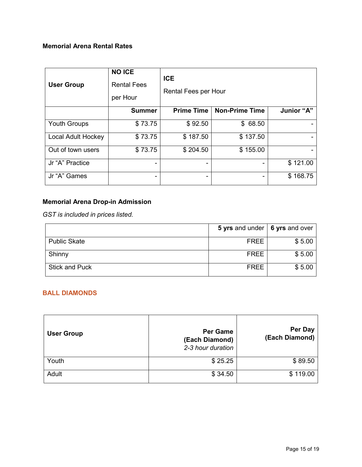## <span id="page-15-0"></span>**Memorial Arena Rental Rates**

| <b>User Group</b>   | <b>NO ICE</b><br><b>Rental Fees</b><br>per Hour | <b>ICE</b><br><b>Rental Fees per Hour</b> |                       |            |
|---------------------|-------------------------------------------------|-------------------------------------------|-----------------------|------------|
|                     | <b>Summer</b>                                   | <b>Prime Time</b>                         | <b>Non-Prime Time</b> | Junior "A" |
| <b>Youth Groups</b> | \$73.75                                         | \$92.50                                   | \$68.50               |            |
| Local Adult Hockey  | \$73.75                                         | \$187.50                                  | \$137.50              |            |
| Out of town users   | \$73.75                                         | \$204.50                                  | \$155.00              |            |
| Jr "A" Practice     |                                                 |                                           |                       | \$121.00   |
| Jr "A" Games        | -                                               | ۰                                         |                       | \$168.75   |

## **Memorial Arena Drop-in Admission**

*GST is included in prices listed.*

|                       | 5 yrs and under $\vert$ 6 yrs and over |        |
|-----------------------|----------------------------------------|--------|
| <b>Public Skate</b>   | FREE                                   | \$5.00 |
| Shinny                | <b>FREE</b>                            | \$5.00 |
| <b>Stick and Puck</b> | <b>FREE</b>                            | \$5.00 |

## **BALL DIAMONDS**

| <b>User Group</b> | <b>Per Game</b><br>(Each Diamond)<br>2-3 hour duration | Per Day<br>(Each Diamond) |
|-------------------|--------------------------------------------------------|---------------------------|
| Youth             | \$25.25                                                | \$89.50                   |
| Adult             | \$34.50                                                | \$119.00                  |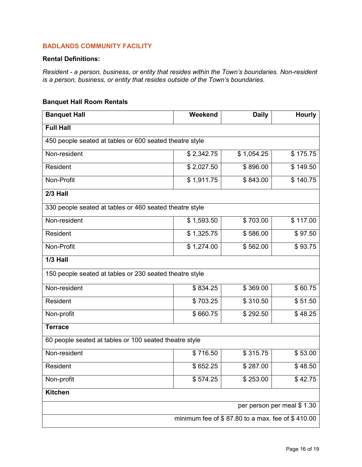#### <span id="page-16-0"></span>**BADLANDS COMMUNITY FACILITY**

#### **Rental Definitions:**

*Resident - a person, business, or entity that resides within the Town's boundaries. Non-resident is a person, business, or entity that resides outside of the Town's boundaries.* 

#### **Banquet Hall Room Rentals**

| <b>Banquet Hall</b>                                     | Weekend    | <b>Daily</b> | <b>Hourly</b> |
|---------------------------------------------------------|------------|--------------|---------------|
| <b>Full Hall</b>                                        |            |              |               |
| 450 people seated at tables or 600 seated theatre style |            |              |               |
| Non-resident                                            | \$2,342.75 | \$1,054.25   | \$175.75      |
| Resident                                                | \$2,027.50 | \$896.00     | \$149.50      |
| Non-Profit                                              | \$1,911.75 | \$843.00     | \$140.75      |
| 2/3 Hall                                                |            |              |               |
| 330 people seated at tables or 460 seated theatre style |            |              |               |
| Non-resident                                            | \$1,593.50 | \$703.00     | \$117.00      |
| Resident                                                | \$1,325.75 | \$586.00     | \$97.50       |
| Non-Profit                                              | \$1,274.00 | \$562.00     | \$93.75       |
| $\overline{1/3}$ Hall                                   |            |              |               |
| 150 people seated at tables or 230 seated theatre style |            |              |               |
| Non-resident                                            | \$834.25   | \$369.00     | \$60.75       |
| Resident                                                | \$703.25   | \$310.50     | \$51.50       |
| Non-profit                                              | \$660.75   | \$292.50     | \$48.25       |
| <b>Terrace</b>                                          |            |              |               |
| 60 people seated at tables or 100 seated theatre style  |            |              |               |
| Non-resident                                            | \$716.50   | \$315.75     | \$53.00       |
| Resident                                                | \$652.25   | \$287.00     | \$48.50       |
| Non-profit                                              | \$574.25   | \$253.00     | \$42.75       |
| <b>Kitchen</b>                                          |            |              |               |
| per person per meal \$1.30                              |            |              |               |
| minimum fee of \$87.80 to a max. fee of \$410.00        |            |              |               |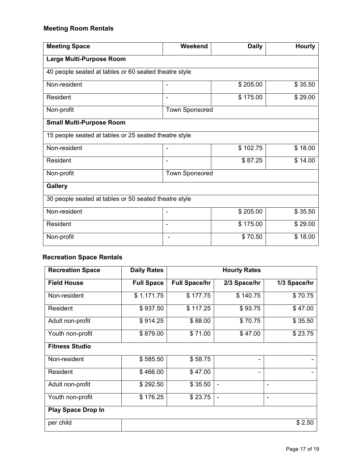## **Meeting Room Rentals**

| <b>Meeting Space</b>                                  | Weekend               | <b>Daily</b> | <b>Hourly</b> |  |  |  |
|-------------------------------------------------------|-----------------------|--------------|---------------|--|--|--|
| Large Multi-Purpose Room                              |                       |              |               |  |  |  |
| 40 people seated at tables or 60 seated theatre style |                       |              |               |  |  |  |
| Non-resident                                          |                       | \$205.00     | \$35.50       |  |  |  |
| Resident                                              | ۰                     | \$175.00     | \$29.00       |  |  |  |
| Non-profit                                            | <b>Town Sponsored</b> |              |               |  |  |  |
| <b>Small Multi-Purpose Room</b>                       |                       |              |               |  |  |  |
| 15 people seated at tables or 25 seated theatre style |                       |              |               |  |  |  |
| Non-resident                                          | ٠                     | \$102.75     | \$18.00       |  |  |  |
| Resident                                              | ٠                     | \$87.25      | \$14.00       |  |  |  |
| Non-profit                                            | <b>Town Sponsored</b> |              |               |  |  |  |
| <b>Gallery</b>                                        |                       |              |               |  |  |  |
| 30 people seated at tables or 50 seated theatre style |                       |              |               |  |  |  |
| Non-resident                                          | ۰                     | \$205.00     | \$35.50       |  |  |  |
| Resident                                              | ۰                     | \$175.00     | \$29.00       |  |  |  |
| Non-profit                                            |                       | \$70.50      | \$18.00       |  |  |  |

## **Recreation Space Rentals**

| <b>Recreation Space</b>   | <b>Daily Rates</b> |                      | <b>Hourly Rates</b>      |              |
|---------------------------|--------------------|----------------------|--------------------------|--------------|
| <b>Field House</b>        | <b>Full Space</b>  | <b>Full Space/hr</b> | 2/3 Space/hr             | 1/3 Space/hr |
| Non-resident              | \$1,171.75         | \$177.75             | \$140.75                 | \$70.75      |
| Resident                  | \$937.50           | \$117.25             | \$93.75                  | \$47.00      |
| Adult non-profit          | \$914.25           | \$88.00              | \$70.75                  | \$35.50      |
| Youth non-profit          | \$879.00           | \$71.00              | \$47.00                  | \$23.75      |
| <b>Fitness Studio</b>     |                    |                      |                          |              |
| Non-resident              | \$585.50           | \$58.75              |                          |              |
| Resident                  | \$466.00           | \$47.00              |                          |              |
| Adult non-profit          | \$292.50           | \$35.50              | $\overline{\phantom{a}}$ | ۰            |
| Youth non-profit          | \$176.25           | \$23.75              | $\overline{\phantom{a}}$ | ٠            |
| <b>Play Space Drop In</b> |                    |                      |                          |              |
| per child                 |                    |                      |                          | \$2.50       |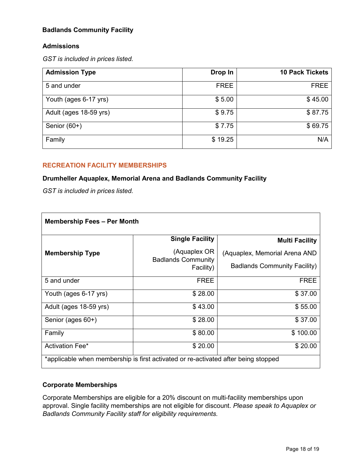#### <span id="page-18-0"></span>**Badlands Community Facility**

#### **Admissions**

*GST is included in prices listed.*

| <b>Admission Type</b>  | Drop In     | <b>10 Pack Tickets</b> |
|------------------------|-------------|------------------------|
| 5 and under            | <b>FREE</b> | <b>FREE</b>            |
| Youth (ages 6-17 yrs)  | \$5.00      | \$45.00                |
| Adult (ages 18-59 yrs) | \$9.75      | \$87.75                |
| Senior (60+)           | \$7.75      | \$69.75                |
| Family                 | \$19.25     | N/A                    |

#### **RECREATION FACILITY MEMBERSHIPS**

#### **Drumheller Aquaplex, Memorial Arena and Badlands Community Facility**

*GST is included in prices listed.*

| <b>Membership Fees - Per Month</b>                                                 |                                        |                                     |  |
|------------------------------------------------------------------------------------|----------------------------------------|-------------------------------------|--|
|                                                                                    | <b>Single Facility</b>                 | <b>Multi Facility</b>               |  |
| <b>Membership Type</b>                                                             | (Aquaplex OR                           | (Aquaplex, Memorial Arena AND       |  |
|                                                                                    | <b>Badlands Community</b><br>Facility) | <b>Badlands Community Facility)</b> |  |
| 5 and under                                                                        | <b>FREE</b>                            | <b>FREE</b>                         |  |
| Youth (ages 6-17 yrs)                                                              | \$28.00                                | \$37.00                             |  |
| Adult (ages 18-59 yrs)                                                             | \$43.00                                | \$55.00                             |  |
| Senior (ages 60+)                                                                  | \$28.00                                | \$37.00                             |  |
| Family                                                                             | \$80.00                                | \$100.00                            |  |
| <b>Activation Fee*</b>                                                             | \$20.00                                | \$20.00                             |  |
| *applicable when membership is first activated or re-activated after being stopped |                                        |                                     |  |

#### **Corporate Memberships**

Corporate Memberships are eligible for a 20% discount on multi-facility memberships upon approval. Single facility memberships are not eligible for discount. *Please speak to Aquaplex or Badlands Community Facility staff for eligibility requirements.*